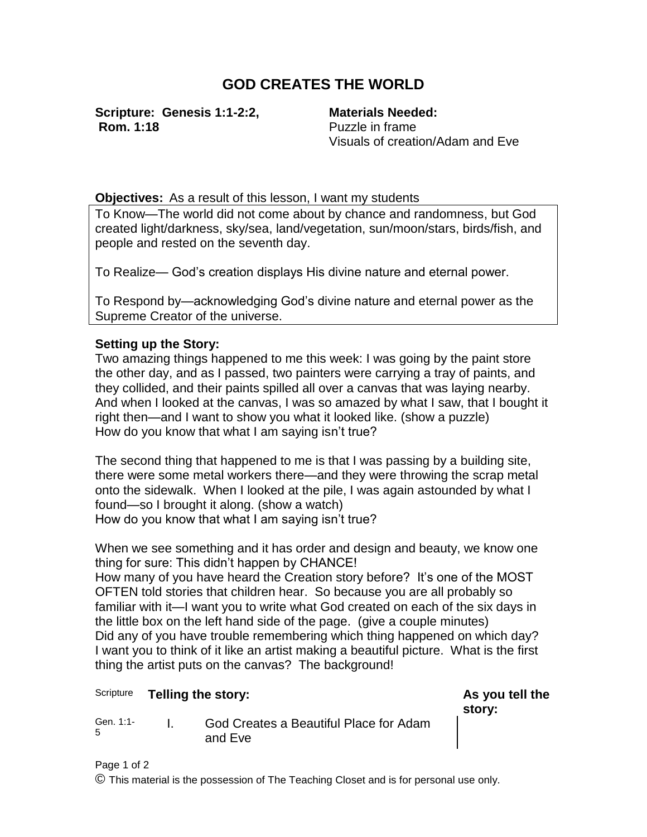## **GOD CREATES THE WORLD**

**Scripture: Genesis 1:1-2:2, Rom. 1:18**

**Materials Needed:** Puzzle in frame Visuals of creation/Adam and Eve

**Objectives:** As a result of this lesson, I want my students

To Know—The world did not come about by chance and randomness, but God created light/darkness, sky/sea, land/vegetation, sun/moon/stars, birds/fish, and people and rested on the seventh day.

To Realize— God's creation displays His divine nature and eternal power.

To Respond by—acknowledging God's divine nature and eternal power as the Supreme Creator of the universe.

## **Setting up the Story:**

Two amazing things happened to me this week: I was going by the paint store the other day, and as I passed, two painters were carrying a tray of paints, and they collided, and their paints spilled all over a canvas that was laying nearby. And when I looked at the canvas, I was so amazed by what I saw, that I bought it right then—and I want to show you what it looked like. (show a puzzle) How do you know that what I am saying isn't true?

The second thing that happened to me is that I was passing by a building site, there were some metal workers there—and they were throwing the scrap metal onto the sidewalk. When I looked at the pile, I was again astounded by what I found—so I brought it along. (show a watch) How do you know that what I am saying isn't true?

When we see something and it has order and design and beauty, we know one thing for sure: This didn't happen by CHANCE!

How many of you have heard the Creation story before? It's one of the MOST OFTEN told stories that children hear. So because you are all probably so familiar with it—I want you to write what God created on each of the six days in the little box on the left hand side of the page. (give a couple minutes) Did any of you have trouble remembering which thing happened on which day? I want you to think of it like an artist making a beautiful picture. What is the first thing the artist puts on the canvas? The background!

## Scripture **Telling the story: As you tell the**

**story:**

Gen. 1:1- 5 I. God Creates a Beautiful Place for Adam and Eve

Page 1 of 2 © This material is the possession of The Teaching Closet and is for personal use only.